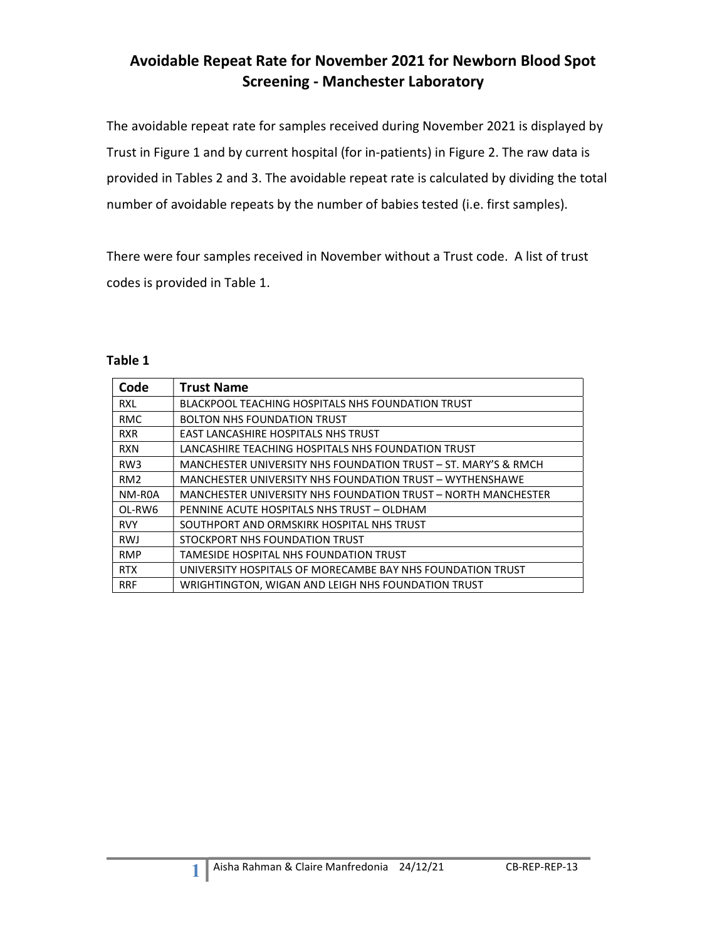### Avoidable Repeat Rate for November 2021 for Newborn Blood Spot Screening - Manchester Laboratory

The avoidable repeat rate for samples received during November 2021 is displayed by Trust in Figure 1 and by current hospital (for in-patients) in Figure 2. The raw data is provided in Tables 2 and 3. The avoidable repeat rate is calculated by dividing the total number of avoidable repeats by the number of babies tested (i.e. first samples).

There were four samples received in November without a Trust code. A list of trust codes is provided in Table 1.

#### Table 1

| Code            | <b>Trust Name</b>                                              |
|-----------------|----------------------------------------------------------------|
| RXL             | <b>BLACKPOOL TEACHING HOSPITALS NHS FOUNDATION TRUST</b>       |
| <b>RMC</b>      | <b>BOLTON NHS FOUNDATION TRUST</b>                             |
| <b>RXR</b>      | <b>EAST LANCASHIRE HOSPITALS NHS TRUST</b>                     |
| <b>RXN</b>      | LANCASHIRE TEACHING HOSPITALS NHS FOUNDATION TRUST             |
| RW <sub>3</sub> | MANCHESTER UNIVERSITY NHS FOUNDATION TRUST – ST. MARY'S & RMCH |
| RM <sub>2</sub> | MANCHESTER UNIVERSITY NHS FOUNDATION TRUST - WYTHENSHAWE       |
| NM-R0A          | MANCHESTER UNIVERSITY NHS FOUNDATION TRUST - NORTH MANCHESTER  |
| OL-RW6          | PENNINE ACUTE HOSPITALS NHS TRUST - OLDHAM                     |
| <b>RVY</b>      | SOUTHPORT AND ORMSKIRK HOSPITAL NHS TRUST                      |
| <b>RWJ</b>      | STOCKPORT NHS FOUNDATION TRUST                                 |
| <b>RMP</b>      | TAMESIDE HOSPITAL NHS FOUNDATION TRUST                         |
| <b>RTX</b>      | UNIVERSITY HOSPITALS OF MORECAMBE BAY NHS FOUNDATION TRUST     |
| <b>RRF</b>      | WRIGHTINGTON, WIGAN AND LEIGH NHS FOUNDATION TRUST             |

1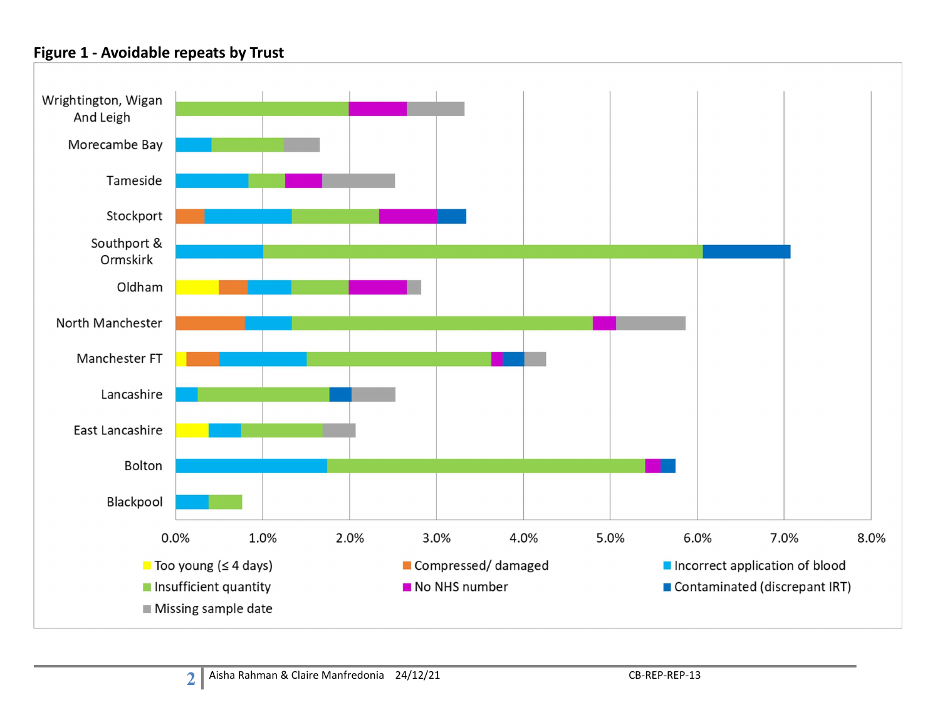### Figure 1 - Avoidable repeats by Trust

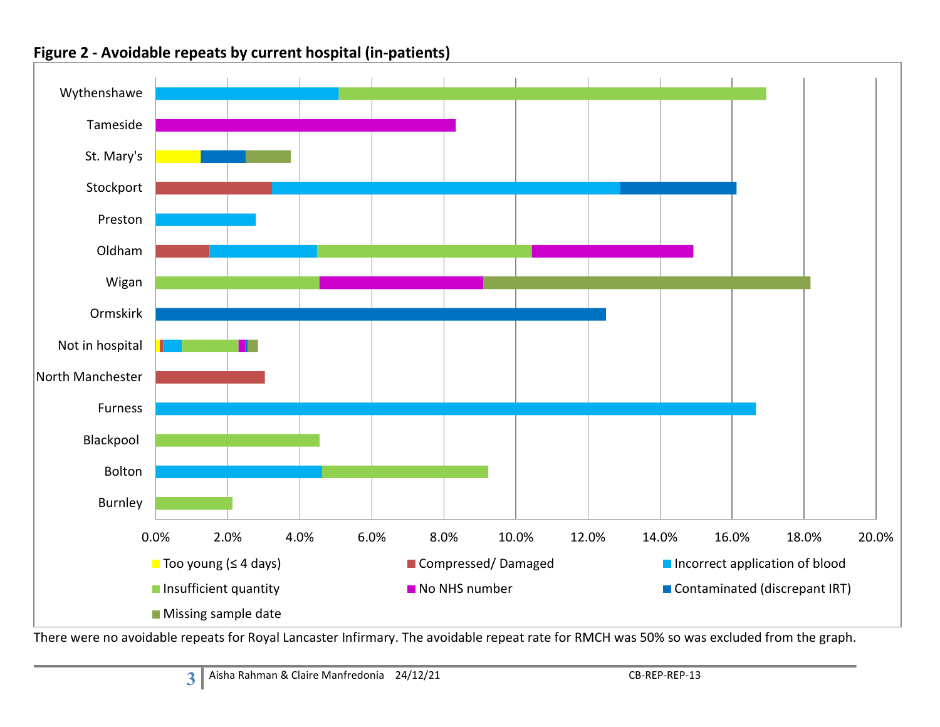

### Figure 2 - Avoidable repeats by current hospital (in-patients)

There were no avoidable repeats for Royal Lancaster Infirmary. The avoidable repeat rate for RMCH was 50% so was excluded from the graph.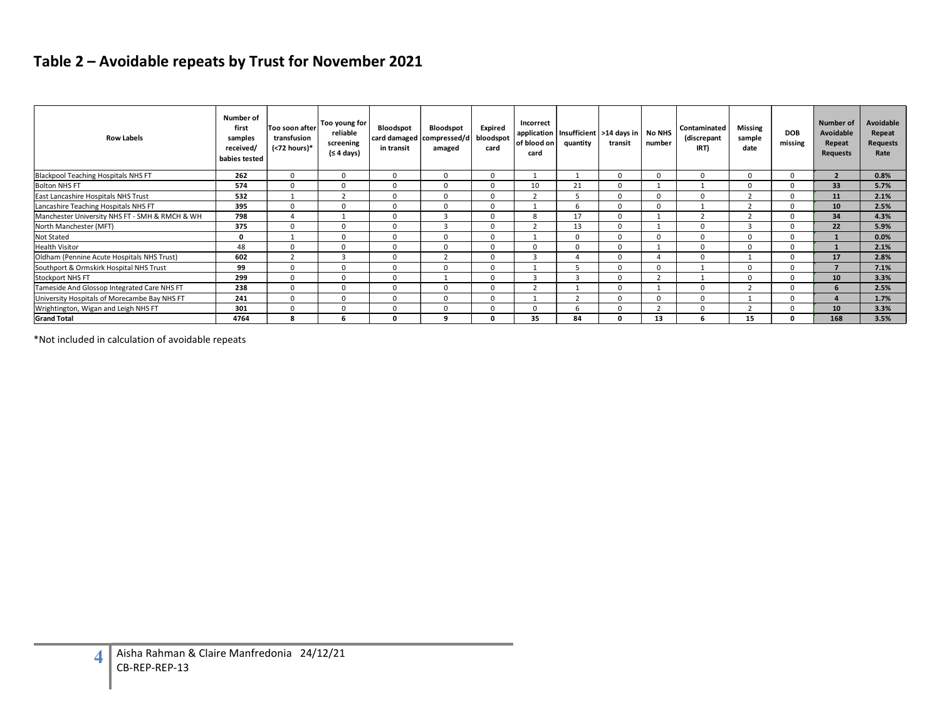# Table 2 – Avoidable repeats by Trust for November 2021

| <b>Row Labels</b>                                                                                              | Number of<br>first<br>samples<br>received/ | Too soon after<br>transfusion<br>(<72 hours)* | Too young for<br>reliable<br>screening<br>(≤ 4 days) | Bloodspot<br>in transit      | Bloodspot<br>card damaged compressed/d bloodspot<br>amaged | Expired<br>card                | Incorrect<br>application<br>of blood on<br>card | Insufficient<br>quantity | transit                          | >14 days in No NHS<br>number   | Contaminated<br>(discrepant<br>IRT) | Missing<br>sample<br>date | <b>DOB</b><br>missing        | <b>Number of</b><br>Avoidable<br>Repeat<br><b>Requests</b> | Avoidable<br>Repeat<br><b>Requests</b><br>Rate |
|----------------------------------------------------------------------------------------------------------------|--------------------------------------------|-----------------------------------------------|------------------------------------------------------|------------------------------|------------------------------------------------------------|--------------------------------|-------------------------------------------------|--------------------------|----------------------------------|--------------------------------|-------------------------------------|---------------------------|------------------------------|------------------------------------------------------------|------------------------------------------------|
|                                                                                                                | babies tested<br>262                       | $\overline{0}$                                | $\mathbf{0}$                                         | $\mathbf 0$                  | $\mathbf{0}$                                               | $\Omega$                       | $\overline{1}$                                  | 1                        | $\overline{0}$                   | $\mathbf 0$                    | $\mathbf 0$                         | $\overline{0}$            | $\mathbf 0$                  | $\overline{2}$                                             | 0.8%                                           |
| <b>Blackpool Teaching Hospitals NHS FT</b><br>Bolton NHS FT                                                    | 574                                        | $\overline{0}$                                | $\mathbf{0}$                                         | $\overline{0}$               | $\mathbf{0}$                                               | $\mathbf 0$                    | 10                                              | 21                       | $\mathbf 0$                      | 1                              | 1                                   | $\mathbf{0}$              | $\overline{0}$               | 33 <sup>2</sup>                                            | 5.7%                                           |
| East Lancashire Hospitals NHS Trust                                                                            | 532                                        | 1                                             | $\overline{2}$                                       | $\mathbf{0}$                 | $\mathbf{0}$                                               | $\Omega$                       | $\overline{2}$                                  | - 5                      | $\overline{0}$                   | $\mathbf{0}$                   | $\overline{0}$                      | $\overline{2}$            | $\overline{0}$               | 11                                                         | 2.1%                                           |
| Lancashire Teaching Hospitals NHS FT                                                                           | 395                                        | $\mathbf{0}$                                  | $\mathbf{0}$                                         | $\mathbf{0}$                 | $\mathbf{0}$                                               | $\mathbf{0}$                   | 1                                               | 6                        | $\overline{0}$                   | $\mathbf{0}$                   | 1                                   | 2                         | $\mathbf{0}$                 | ${\bf 10}$                                                 | 2.5%                                           |
|                                                                                                                |                                            | $\overline{4}$                                | 1                                                    | $\mathbf 0$                  | $\overline{\mathbf{3}}$                                    | $\mathbf 0$                    | 8                                               | 17                       | $\mathbf 0$                      | $\mathbf{1}$                   | $\overline{2}$                      | 2                         | $\overline{0}$               | 34                                                         | 4.3%                                           |
|                                                                                                                |                                            |                                               |                                                      |                              |                                                            |                                |                                                 |                          |                                  |                                |                                     |                           |                              |                                                            |                                                |
| Manchester University NHS FT - SMH & RMCH & WH                                                                 | 798                                        |                                               |                                                      |                              |                                                            |                                |                                                 |                          |                                  |                                |                                     |                           |                              |                                                            |                                                |
| North Manchester (MFT)                                                                                         | 375                                        | $\mathbf{0}$                                  | $\mathbf{0}$                                         | $\mathbf{0}$                 | $\overline{\mathbf{3}}$                                    | $\mathbf{0}$                   | $\overline{2}$                                  | 13                       | $\mathbf 0$                      | 1                              | $\mathbf{0}$                        | $\overline{\mathbf{3}}$   | $\mathbf 0$                  | 22                                                         | 5.9%                                           |
| Not Stated                                                                                                     | $\mathbf 0$                                | $\overline{1}$                                | $\mathbf{0}$                                         | $\mathbf{0}$                 | $\mathbf{0}$                                               | $\mathbf{0}$                   | 1                                               | $\overline{0}$           | $\overline{0}$                   | $\mathbf 0$                    | $\mathbf 0$                         | $\mathbf{0}$              | $\mathbf{0}$                 | $\mathbf{1}$                                               | 0.0%                                           |
|                                                                                                                | 48                                         | $\Omega$                                      | $\mathbf{0}$                                         | $\mathbf 0$                  | $\mathbf{0}$                                               | $\mathbf{0}$                   | $\mathbf{0}$                                    | $\overline{0}$           | $\overline{0}$                   | 1                              | $\mathbf 0$                         | $\mathbf{0}$              | $\overline{0}$               | $\mathbf{1}$                                               | 2.1%                                           |
|                                                                                                                | 602                                        | $\overline{2}$                                | $\overline{\mathbf{3}}$                              | $\overline{0}$               | 2                                                          | $\overline{0}$                 | $\overline{\mathbf{3}}$                         | $\overline{4}$           | $\mathbf 0$                      | $\overline{4}$                 | $\overline{0}$                      | 1                         | $\overline{0}$               | 17                                                         | 2.8%                                           |
| <b>Health Visitor</b><br>Oldham (Pennine Acute Hospitals NHS Trust)<br>Southport & Ormskirk Hospital NHS Trust | 99                                         | $\mathbf 0$<br>$\Omega$                       | $\mathbf 0$<br>$\Omega$                              | $\mathbf 0$<br>$\Omega$      | $\mathbf 0$<br>$\mathbf{1}$                                | $\mathbf 0$                    | 1                                               | 5                        | $\overline{0}$                   | $\mathbf{0}$                   | 1<br>1                              | $\mathbf 0$<br>$\Omega$   | $\mathbf{0}$                 | $\overline{7}$                                             | 7.1%                                           |
| Stockport NHS FT                                                                                               | 299                                        |                                               |                                                      |                              |                                                            | $\mathbf{0}$                   | $\overline{\mathbf{3}}$                         | $\overline{3}$           | $\overline{0}$                   | 2                              |                                     |                           | $\mathbf{0}$                 | 10                                                         | 3.3%                                           |
| Tameside And Glossop Integrated Care NHS FT                                                                    | 238                                        | $\Omega$                                      | $\Omega$                                             | $\Omega$                     | $\Omega$                                                   | $\Omega$                       | $\overline{2}$                                  | $\mathbf{1}$             | $\overline{0}$                   | 1                              | $\overline{0}$                      | $\overline{2}$            | $\overline{0}$               | 6                                                          | 2.5%                                           |
| University Hospitals of Morecambe Bay NHS FT<br>Wrightington, Wigan and Leigh NHS FT                           | 241<br>301                                 | $\mathbf{0}$<br>$\mathbf{0}$                  | $\mathbf{0}$<br>$\mathbf{0}$                         | $\mathbf{0}$<br>$\mathbf{0}$ | $\mathbf{0}$<br>$\mathbf{0}$                               | $\overline{0}$<br>$\mathbf{0}$ | $\mathbf{1}$<br>$\mathbf{0}$                    | $\overline{2}$<br>6      | $\overline{0}$<br>$\overline{0}$ | $\mathbf{0}$<br>$\overline{2}$ | $\mathbf{0}$<br>$\mathbf{0}$        | 1<br>2                    | $\mathbf{0}$<br>$\mathbf{0}$ | $\overline{4}$<br>$10\,$                                   | 1.7%<br>3.3%                                   |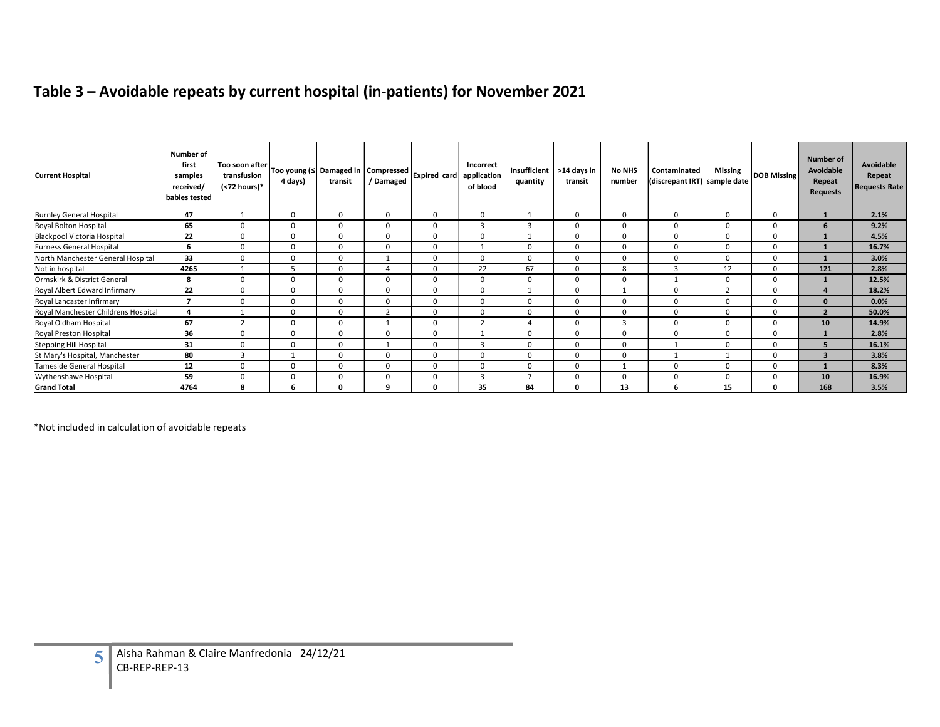# Table 3 – Avoidable repeats by current hospital (in-patients) for November 2021

|                                                           |                                                             |                                               |                |                                    |                         | Table 3 - Avoidable repeats by current hospital (in-patients) for November 2021 |                         |                          |                        |                         |                                              |                |                |                                                            |                                             |
|-----------------------------------------------------------|-------------------------------------------------------------|-----------------------------------------------|----------------|------------------------------------|-------------------------|---------------------------------------------------------------------------------|-------------------------|--------------------------|------------------------|-------------------------|----------------------------------------------|----------------|----------------|------------------------------------------------------------|---------------------------------------------|
| <b>Current Hospital</b>                                   | Number of<br>first<br>samples<br>received/<br>babies tested | Too soon after<br>transfusion<br>(<72 hours)* | 4 days)        | Too young (≤ Damaged in<br>transit | Compressed<br>/ Damaged | Expired card application                                                        | Incorrect<br>of blood   | Insufficient<br>quantity | >14 days in<br>transit | <b>No NHS</b><br>number | Contaminated<br>(discrepant IRT) sample date | <b>Missing</b> | DOB Missing    | <b>Number of</b><br>Avoidable<br>Repeat<br><b>Requests</b> | Avoidable<br>Repeat<br><b>Requests Rate</b> |
|                                                           | 47                                                          | 1                                             | $\overline{0}$ | $\mathbf 0$                        | $\overline{0}$          | $\mathbf 0$                                                                     | $\mathbf 0$             | 1                        | $\mathbf 0$            | $\mathbf 0$             | $\mathbf 0$                                  | $\overline{0}$ | $\mathbf 0$    | $\mathbf{1}$                                               | 2.1%                                        |
| <b>Burnley General Hospital<br/>Royal Bolton Hospital</b> | 65                                                          | $\overline{0}$                                | $\Omega$       | $\overline{0}$                     | $\overline{0}$          | $\mathbf{0}$                                                                    | $\overline{\mathbf{3}}$ | $\overline{\mathbf{3}}$  | $\mathbf 0$            | $\mathbf 0$             | $\mathbf 0$                                  | $\mathbf 0$    | $\overline{0}$ | 6                                                          | 9.2%                                        |
| Blackpool Victoria Hospital                               | 22                                                          | $\mathbf{0}$                                  | $\Omega$       | $\mathbf{0}$                       | $\overline{0}$          | $\mathbf{0}$                                                                    | $\mathbf{0}$            | 1                        | $\overline{0}$         | $\mathbf{0}$            | $\mathbf{0}$                                 | $\overline{0}$ | $\mathbf{0}$   | $\mathbf{1}$                                               | 4.5%                                        |
| <b>Furness General Hospital</b>                           | 6                                                           | $\Omega$                                      | $\mathbf{0}$   | $\mathbf 0$                        | $\mathbf 0$             | $\mathbf{0}$                                                                    | 1                       | $\overline{0}$           | $\mathbf 0$            | $\overline{0}$          | $\mathbf 0$                                  | $\mathbf 0$    | $\overline{0}$ | $\mathbf{1}$                                               | 16.7%                                       |
| North Manchester General Hospital                         | 33                                                          | $\mathbf 0$                                   | $\overline{0}$ | $\overline{0}$                     | <sup>1</sup>            | $\mathbf 0$                                                                     | $\mathbf 0$             | $\mathbf 0$              | $\mathbf 0$            | $\mathbf 0$             | $\overline{0}$                               | $\mathbf 0$    | $\mathbf 0$    | $\mathbf{1}$                                               | 3.0%                                        |
| Not in hospital                                           | 4265                                                        | 1                                             | 5              | $\mathbf 0$                        | $\overline{4}$          | $\mathbf 0$                                                                     | 22                      | 67                       | $\mathbf 0$            | 8                       | $\overline{\mathbf{3}}$                      | 12             | $\mathbf 0$    | 121                                                        | 2.8%                                        |
| Ormskirk & District General                               | 8                                                           | $\mathbf 0$                                   | $\mathbf{0}$   | $\mathbf 0$                        | $\overline{0}$          | $\mathbf 0$                                                                     | $\mathbf 0$             | $\mathbf{0}$             | $\mathbf 0$            | $\mathbf 0$             | 1                                            | $\overline{0}$ | $\mathbf 0$    | $\mathbf{1}$                                               | 12.5%                                       |
| Royal Albert Edward Infirmary                             | 22                                                          | $\Omega$                                      | $\Omega$       | $\Omega$                           | $\overline{0}$          | $\Omega$                                                                        | $\Omega$                | 1                        | $\overline{0}$         | 1                       | $\Omega$                                     | $\overline{2}$ | $\Omega$       | $\overline{a}$                                             | 18.2%                                       |
| Royal Lancaster Infirmary                                 | $\overline{7}$                                              | $\mathbf 0$                                   | $\mathbf 0$    | $\mathbf 0$                        | $\overline{0}$          | $\mathbf 0$                                                                     | $\mathbf 0$             | $\mathbf 0$              | $\mathbf 0$            | $\mathbf 0$             | $\overline{0}$                               | $\overline{0}$ | $\mathbf 0$    | $\mathbf{0}$                                               | 0.0%                                        |
| Royal Manchester Childrens Hospital                       | $\overline{\mathbf{4}}$                                     | 1                                             | $\overline{0}$ | $\mathbf 0$                        | $\overline{2}$          | $\mathbf 0$                                                                     | $\mathbf 0$             | $\mathbf 0$              | $\mathbf 0$            | $\mathbf 0$             | $\mathbf 0$                                  | $\overline{0}$ | $\mathbf 0$    | $\overline{2}$                                             | 50.0%                                       |
| Royal Oldham Hospital                                     | 67                                                          | $\overline{2}$                                | $\mathbf{0}$   | $\mathbf 0$                        | 1                       | $\mathbf 0$                                                                     | $\overline{2}$          | $\overline{4}$           | $\mathbf 0$            | $\overline{\mathbf{3}}$ | $\mathbf 0$                                  | $\mathbf 0$    | $\mathbf 0$    | 10 <sup>°</sup>                                            | 14.9%                                       |
| Royal Preston Hospital                                    | 36                                                          | $\overline{0}$                                | $\Omega$       | $\overline{0}$                     | $\mathbf 0$             | $\mathbf{0}$                                                                    | 1                       | $\Omega$                 | $\overline{0}$         | $\overline{0}$          | $\overline{0}$                               | $\overline{0}$ | $\Omega$       | $\mathbf{1}$                                               | 2.8%                                        |
| <b>Stepping Hill Hospital</b>                             | 31                                                          | $\overline{0}$                                | $\overline{0}$ | $\overline{0}$                     | $\overline{1}$          | $\mathbf{0}$                                                                    | $\overline{\mathbf{3}}$ | $\mathbf{0}$             | $\overline{0}$         | $\overline{0}$          | 1                                            | $\overline{0}$ | $\mathbf 0$    | 5 <sup>5</sup>                                             | 16.1%                                       |
| St Mary's Hospital, Manchester                            | 80                                                          | $\overline{\mathbf{3}}$                       | 1              | $\mathbf 0$                        | $\mathbf 0$             | $\mathbf 0$                                                                     | $\mathbf 0$             | $\mathbf 0$              | $\mathbf 0$            | $\mathbf 0$             | 1                                            | <sup>1</sup>   | $\mathbf 0$    | $\overline{\mathbf{3}}$                                    | 3.8%                                        |
| Tameside General Hospital                                 | 12                                                          | $\mathbf 0$                                   | $\mathbf 0$    | $\mathbf 0$                        | $\mathbf 0$             | $\mathbf 0$                                                                     | $\mathbf 0$             | $\mathbf 0$              | $\mathbf 0$            | 1                       | $\mathbf 0$                                  | $\mathbf 0$    | $\mathbf 0$    | $\mathbf{1}$                                               | 8.3%                                        |
| Wythenshawe Hospital                                      | 59                                                          | $\overline{0}$                                | $\overline{0}$ | $\Omega$                           | $\overline{0}$          | $\mathbf{0}$                                                                    | $\overline{\mathbf{3}}$ | $7^{\circ}$              | $\overline{0}$         | $\mathbf{0}$            | $\mathbf 0$                                  | $\mathbf 0$    | $\mathbf 0$    | 10                                                         | 16.9%                                       |
| <b>Grand Total</b>                                        | 4764                                                        | 8                                             | -6             | $\mathbf{0}$                       | 9                       | $\mathbf{o}$                                                                    | 35                      | 84                       | $\mathbf{0}$           | 13                      | 6                                            | 15             | $\mathbf{0}$   | 168                                                        | 3.5%                                        |